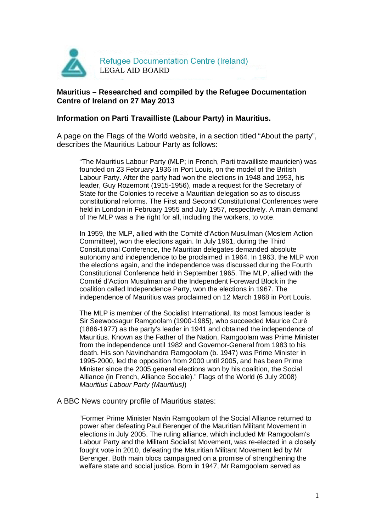

#### **Mauritius – Researched and compiled by the Refugee Documentation Centre of Ireland on 27 May 2013**

#### **Information on Parti Travailliste (Labour Party) in Mauritius.**

A page on the Flags of the World website, in a section titled "About the party", describes the Mauritius Labour Party as follows:

"The Mauritius Labour Party (MLP; in French, Parti travailliste mauricien) was founded on 23 February 1936 in Port Louis, on the model of the British Labour Party. After the party had won the elections in 1948 and 1953, his leader, Guy Rozemont (1915-1956), made a request for the Secretary of State for the Colonies to receive a Mauritian delegation so as to discuss constitutional reforms. The First and Second Constitutional Conferences were held in London in February 1955 and July 1957, respectively. A main demand of the MLP was a the right for all, including the workers, to vote.

In 1959, the MLP, allied with the Comité d'Action Musulman (Moslem Action Committee), won the elections again. In July 1961, during the Third Consitutional Conference, the Mauritian delegates demanded absolute autonomy and independence to be proclaimed in 1964. In 1963, the MLP won the elections again, and the independence was discussed during the Fourth Constitutional Conference held in September 1965. The MLP, allied with the Comité d'Action Musulman and the Independent Foreward Block in the coalition called Independence Party, won the elections in 1967. The independence of Mauritius was proclaimed on 12 March 1968 in Port Louis.

The MLP is member of the Socialist International. Its most famous leader is Sir Seewoosagur Ramgoolam (1900-1985), who succeeded Maurice Curé (1886-1977) as the party's leader in 1941 and obtained the independence of Mauritius. Known as the Father of the Nation, Ramgoolam was Prime Minister from the independence until 1982 and Governor-General from 1983 to his death. His son Navinchandra Ramgoolam (b. 1947) was Prime Minister in 1995-2000, led the opposition from 2000 until 2005, and has been Prime Minister since the 2005 general elections won by his coalition, the Social Alliance (in French, Alliance Sociale)." Flags of the World (6 July 2008) Mauritius Labour Party (Mauritius))

A BBC News country profile of Mauritius states:

"Former Prime Minister Navin Ramgoolam of the Social Alliance returned to power after defeating Paul Berenger of the Mauritian Militant Movement in elections in July 2005. The ruling alliance, which included Mr Ramgoolam's Labour Party and the Militant Socialist Movement, was re-elected in a closely fought vote in 2010, defeating the Mauritian Militant Movement led by Mr Berenger. Both main blocs campaigned on a promise of strengthening the welfare state and social justice. Born in 1947, Mr Ramgoolam served as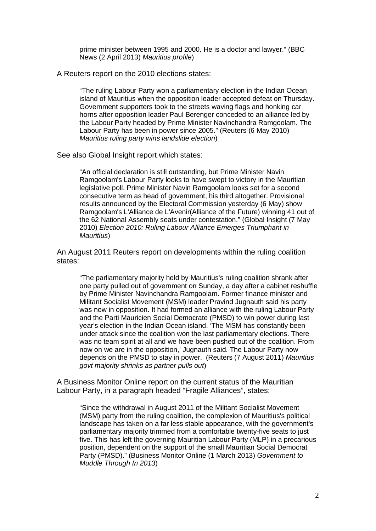prime minister between 1995 and 2000. He is a doctor and lawyer." (BBC News (2 April 2013) Mauritius profile)

A Reuters report on the 2010 elections states:

"The ruling Labour Party won a parliamentary election in the Indian Ocean island of Mauritius when the opposition leader accepted defeat on Thursday. Government supporters took to the streets waving flags and honking car horns after opposition leader Paul Berenger conceded to an alliance led by the Labour Party headed by Prime Minister Navinchandra Ramgoolam. The Labour Party has been in power since 2005." (Reuters (6 May 2010) Mauritius ruling party wins landslide election)

See also Global Insight report which states:

"An official declaration is still outstanding, but Prime Minister Navin Ramgoolam's Labour Party looks to have swept to victory in the Mauritian legislative poll. Prime Minister Navin Ramgoolam looks set for a second consecutive term as head of government, his third altogether. Provisional results announced by the Electoral Commission yesterday (6 May) show Ramgoolam's L'Alliance de L'Avenir(Alliance of the Future) winning 41 out of the 62 National Assembly seats under contestation." (Global Insight (7 May 2010) Election 2010: Ruling Labour Alliance Emerges Triumphant in Mauritius)

An August 2011 Reuters report on developments within the ruling coalition states:

"The parliamentary majority held by Mauritius's ruling coalition shrank after one party pulled out of government on Sunday, a day after a cabinet reshuffle by Prime Minister Navinchandra Ramgoolam. Former finance minister and Militant Socialist Movement (MSM) leader Pravind Jugnauth said his party was now in opposition. It had formed an alliance with the ruling Labour Party and the Parti Mauricien Social Democrate (PMSD) to win power during last year's election in the Indian Ocean island. 'The MSM has constantly been under attack since the coalition won the last parliamentary elections. There was no team spirit at all and we have been pushed out of the coalition. From now on we are in the opposition,' Jugnauth said. The Labour Party now depends on the PMSD to stay in power. (Reuters (7 August 2011) Mauritius govt majority shrinks as partner pulls out)

A Business Monitor Online report on the current status of the Mauritian Labour Party, in a paragraph headed "Fragile Alliances", states:

"Since the withdrawal in August 2011 of the Militant Socialist Movement (MSM) party from the ruling coalition, the complexion of Mauritius's political landscape has taken on a far less stable appearance, with the government's parliamentary majority trimmed from a comfortable twenty-five seats to just five. This has left the governing Mauritian Labour Party (MLP) in a precarious position, dependent on the support of the small Mauritian Social Democrat Party (PMSD)." (Business Monitor Online (1 March 2013) Government to Muddle Through In 2013)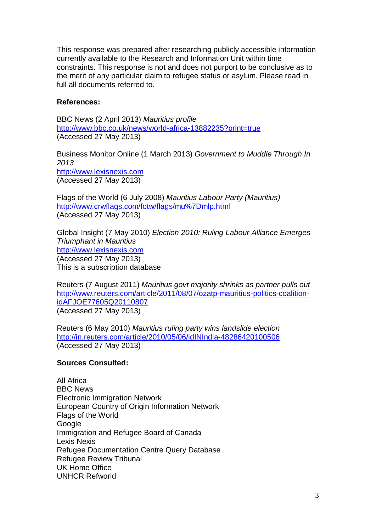This response was prepared after researching publicly accessible information currently available to the Research and Information Unit within time constraints. This response is not and does not purport to be conclusive as to the merit of any particular claim to refugee status or asylum. Please read in full all documents referred to.

### **References:**

BBC News (2 April 2013) Mauritius profile http://www.bbc.co.uk/news/world-africa-13882235?print=true (Accessed 27 May 2013)

Business Monitor Online (1 March 2013) Government to Muddle Through In 2013 http://www.lexisnexis.com (Accessed 27 May 2013)

Flags of the World (6 July 2008) Mauritius Labour Party (Mauritius) http://www.crwflags.com/fotw/flags/mu%7Dmlp.html (Accessed 27 May 2013)

Global Insight (7 May 2010) Election 2010: Ruling Labour Alliance Emerges Triumphant in Mauritius http://www.lexisnexis.com (Accessed 27 May 2013) This is a subscription database

Reuters (7 August 2011) Mauritius govt majority shrinks as partner pulls out http://www.reuters.com/article/2011/08/07/ozatp-mauritius-politics-coalitionidAFJOE77605Q20110807 (Accessed 27 May 2013)

Reuters (6 May 2010) Mauritius ruling party wins landslide election http://in.reuters.com/article/2010/05/06/idINIndia-48286420100506 (Accessed 27 May 2013)

## **Sources Consulted:**

All Africa BBC News Electronic Immigration Network European Country of Origin Information Network Flags of the World Google Immigration and Refugee Board of Canada Lexis Nexis Refugee Documentation Centre Query Database Refugee Review Tribunal UK Home Office UNHCR Refworld